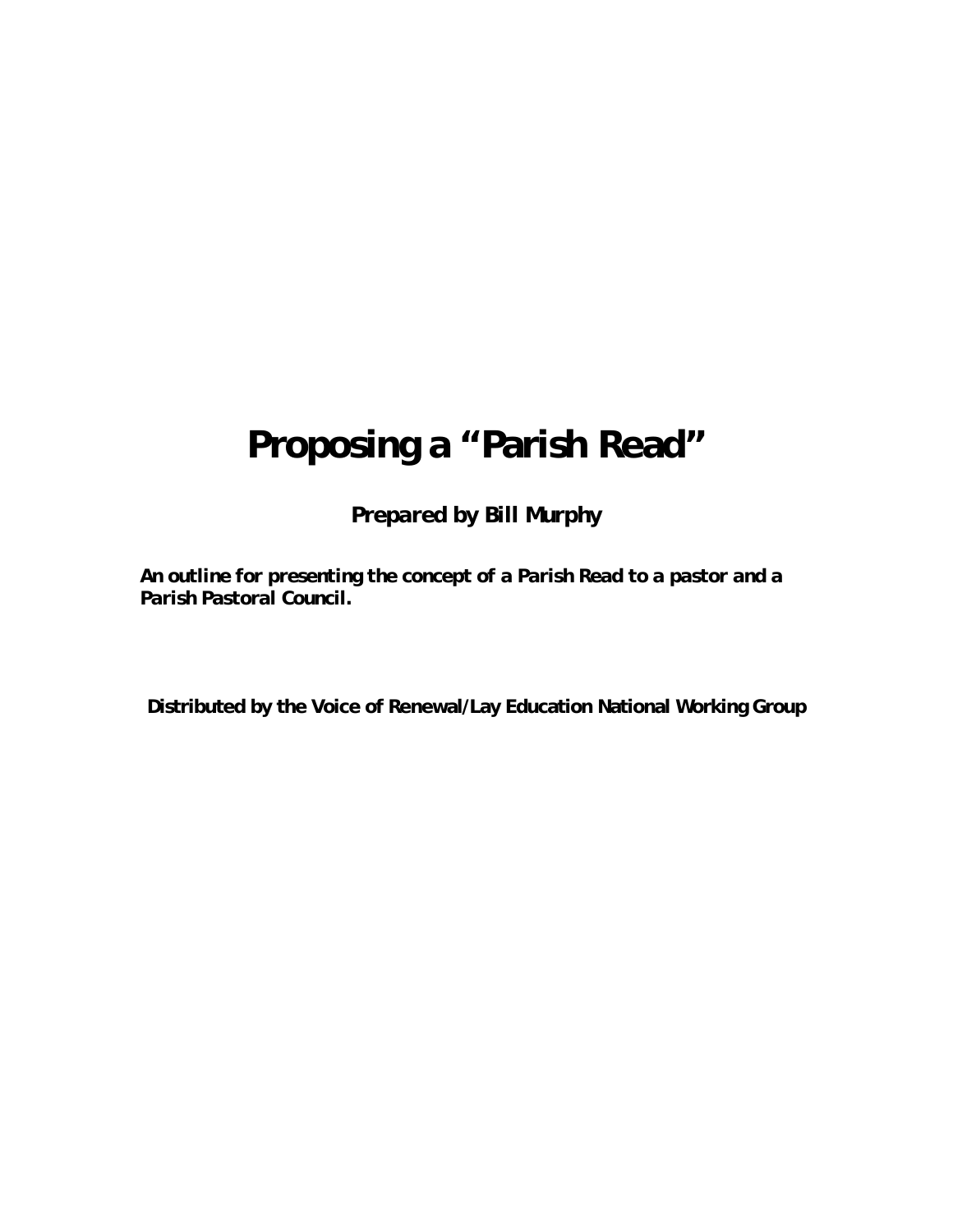# **Proposing a "Parish Read"**

*Prepared by Bill Murphy* 

*An outline for presenting the concept of a Parish Read to a pastor and a Parish Pastoral Council.* 

**Distributed by the Voice of Renewal/Lay Education National Working Group**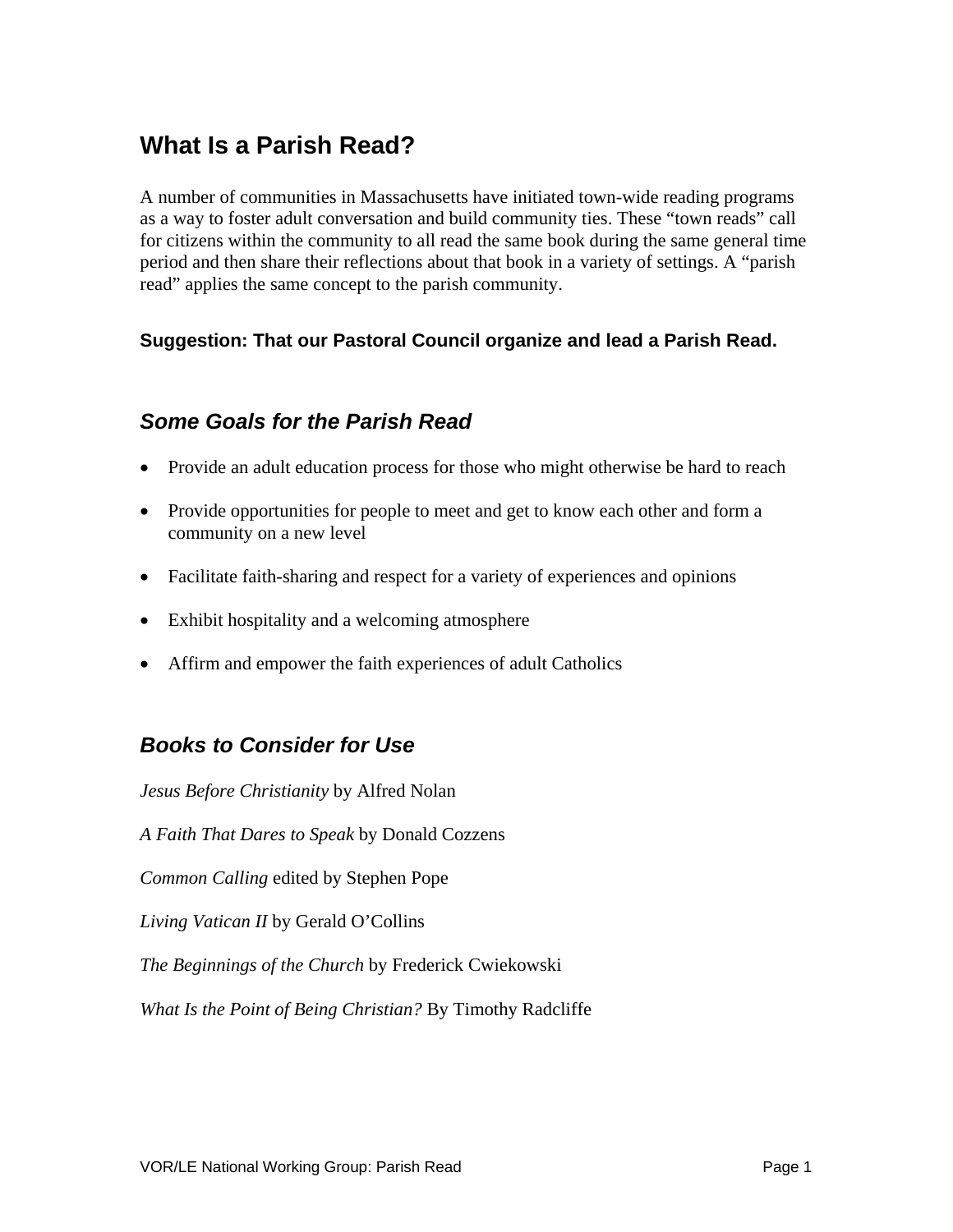# **What Is a Parish Read?**

A number of communities in Massachusetts have initiated town-wide reading programs as a way to foster adult conversation and build community ties. These "town reads" call for citizens within the community to all read the same book during the same general time period and then share their reflections about that book in a variety of settings. A "parish read" applies the same concept to the parish community.

#### **Suggestion: That our Pastoral Council organize and lead a Parish Read.**

#### *Some Goals for the Parish Read*

- Provide an adult education process for those who might otherwise be hard to reach
- Provide opportunities for people to meet and get to know each other and form a community on a new level
- Facilitate faith-sharing and respect for a variety of experiences and opinions
- Exhibit hospitality and a welcoming atmosphere
- Affirm and empower the faith experiences of adult Catholics

#### *Books to Consider for Use*

*Jesus Before Christianity* by Alfred Nolan *A Faith That Dares to Speak* by Donald Cozzens *Common Calling* edited by Stephen Pope *Living Vatican II* by Gerald O'Collins *The Beginnings of the Church* by Frederick Cwiekowski *What Is the Point of Being Christian?* By Timothy Radcliffe